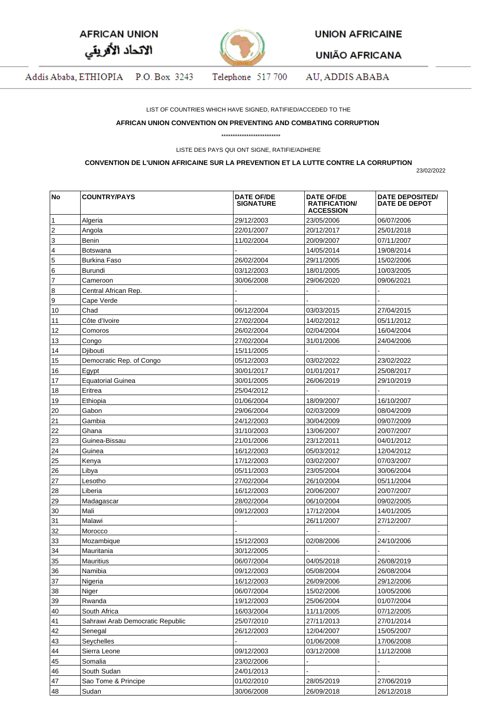| <b>AFRICAN UNION</b> |  |
|----------------------|--|
| الاتحاد الأفريقي     |  |



**UNION AFRICAINE** 

**UNIÃO AFRICANA** 

Addis Ababa, ETHIOPIA P.O. Box 3243 Telephone 517 700 AU, ADDIS ABABA

LIST OF COUNTRIES WHICH HAVE SIGNED, RATIFIED/ACCEDED TO THE

## **AFRICAN UNION CONVENTION ON PREVENTING AND COMBATING CORRUPTION**

\*\*\*\*\*\*\*\*\*\*\*\*\*\*\*\*\*\*\*\*\*\*\*\*\*\*

LISTE DES PAYS QUI ONT SIGNE, RATIFIE/ADHERE

## **CONVENTION DE L'UNION AFRICAINE SUR LA PREVENTION ET LA LUTTE CONTRE LA CORRUPTION**

23/02/2022

| No | <b>COUNTRY/PAYS</b>              | <b>DATE OF/DE</b><br><b>SIGNATURE</b> | <b>DATE OF/DE</b><br><b>RATIFICATION/</b><br><b>ACCESSION</b> | <b>DATE DEPOSITED/</b><br>DATE DE DEPOT |
|----|----------------------------------|---------------------------------------|---------------------------------------------------------------|-----------------------------------------|
| 1  | Algeria                          | 29/12/2003                            | 23/05/2006                                                    | 06/07/2006                              |
| 2  | Angola                           | 22/01/2007                            | 20/12/2017                                                    | 25/01/2018                              |
| 3  | Benin                            | 11/02/2004                            | 20/09/2007                                                    | 07/11/2007                              |
| 4  | Botswana                         |                                       | 14/05/2014                                                    | 19/08/2014                              |
| 5  | <b>Burkina Faso</b>              | 26/02/2004                            | 29/11/2005                                                    | 15/02/2006                              |
| 6  | Burundi                          | 03/12/2003                            | 18/01/2005                                                    | 10/03/2005                              |
| 7  | Cameroon                         | 30/06/2008                            | 29/06/2020                                                    | 09/06/2021                              |
| 8  | Central African Rep.             |                                       |                                                               |                                         |
| 9  | Cape Verde                       |                                       |                                                               |                                         |
| 10 | Chad                             | 06/12/2004                            | 03/03/2015                                                    | 27/04/2015                              |
| 11 | Côte d'Ivoire                    | 27/02/2004                            | 14/02/2012                                                    | 05/11/2012                              |
| 12 | Comoros                          | 26/02/2004                            | 02/04/2004                                                    | 16/04/2004                              |
| 13 | Congo                            | 27/02/2004                            | 31/01/2006                                                    | 24/04/2006                              |
| 14 | Djibouti                         | 15/11/2005                            |                                                               |                                         |
| 15 | Democratic Rep. of Congo         | 05/12/2003                            | 03/02/2022                                                    | 23/02/2022                              |
| 16 | Egypt                            | 30/01/2017                            | 01/01/2017                                                    | 25/08/2017                              |
| 17 | <b>Equatorial Guinea</b>         | 30/01/2005                            | 26/06/2019                                                    | 29/10/2019                              |
| 18 | Eritrea                          | 25/04/2012                            |                                                               |                                         |
| 19 | Ethiopia                         | 01/06/2004                            | 18/09/2007                                                    | 16/10/2007                              |
| 20 | Gabon                            | 29/06/2004                            | 02/03/2009                                                    | 08/04/2009                              |
| 21 | Gambia                           | 24/12/2003                            | 30/04/2009                                                    | 09/07/2009                              |
| 22 | Ghana                            | 31/10/2003                            | 13/06/2007                                                    | 20/07/2007                              |
| 23 | Guinea-Bissau                    | 21/01/2006                            | 23/12/2011                                                    | 04/01/2012                              |
| 24 | Guinea                           | 16/12/2003                            | 05/03/2012                                                    | 12/04/2012                              |
| 25 | Kenya                            | 17/12/2003                            | 03/02/2007                                                    | 07/03/2007                              |
| 26 | Libya                            | 05/11/2003                            | 23/05/2004                                                    | 30/06/2004                              |
| 27 | Lesotho                          | 27/02/2004                            | 26/10/2004                                                    | 05/11/2004                              |
| 28 |                                  |                                       | 20/06/2007                                                    | 20/07/2007                              |
| 29 | Liberia                          | 16/12/2003<br>28/02/2004              |                                                               | 09/02/2005                              |
|    | Madagascar<br>Mali               | 09/12/2003                            | 06/10/2004                                                    |                                         |
| 30 |                                  |                                       | 17/12/2004                                                    | 14/01/2005                              |
| 31 | Malawi                           |                                       | 26/11/2007                                                    | 27/12/2007                              |
| 32 | Morocco                          |                                       |                                                               |                                         |
| 33 | Mozambique                       | 15/12/2003                            | 02/08/2006                                                    | 24/10/2006                              |
| 34 | Mauritania                       | 30/12/2005                            |                                                               |                                         |
| 35 | Mauritius                        | 06/07/2004                            | 04/05/2018                                                    | 26/08/2019                              |
| 36 | Namibia                          | 09/12/2003                            | 05/08/2004                                                    | 26/08/2004                              |
| 37 | Nigeria                          | 16/12/2003                            | 26/09/2006                                                    | 29/12/2006                              |
| 38 | Niger                            | 06/07/2004                            | 15/02/2006                                                    | 10/05/2006                              |
| 39 | Rwanda                           | 19/12/2003                            | 25/06/2004                                                    | 01/07/2004                              |
| 40 | South Africa                     | 16/03/2004                            | 11/11/2005                                                    | 07/12/2005                              |
| 41 | Sahrawi Arab Democratic Republic | 25/07/2010                            | 27/11/2013                                                    | 27/01/2014                              |
| 42 | Senegal                          | 26/12/2003                            | 12/04/2007                                                    | 15/05/2007                              |
| 43 | Seychelles                       |                                       | 01/06/2008                                                    | 17/06/2008                              |
| 44 | Sierra Leone                     | 09/12/2003                            | 03/12/2008                                                    | 11/12/2008                              |
| 45 | Somalia                          | 23/02/2006                            |                                                               |                                         |
| 46 | South Sudan                      | 24/01/2013                            |                                                               |                                         |
| 47 | Sao Tome & Principe              | 01/02/2010                            | 28/05/2019                                                    | 27/06/2019                              |
| 48 | Sudan                            | 30/06/2008                            | 26/09/2018                                                    | 26/12/2018                              |